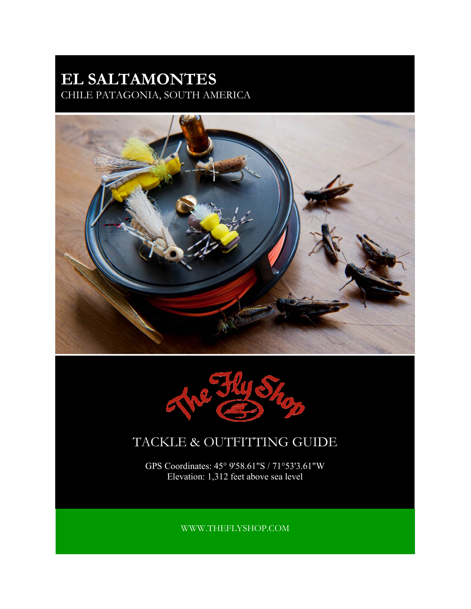# **EL SALTAMONTES**  CHILE PATAGONIA, SOUTH AMERICA





# TACKLE & OUTFITTING GUIDE

GPS Coordinates: 45° 9'58.61"S / 71°53'3.61"W Elevation: 1,312 feet above sea level

WWW.THEFLYSHOP.COM

**OUR TACKLE AND EQUIPMENT RECOMMENDATIONS**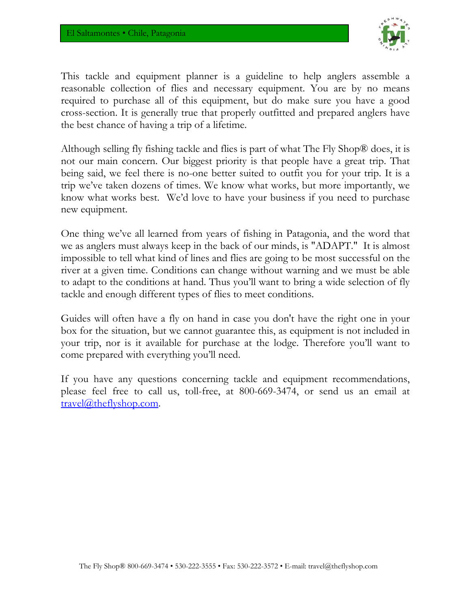

This tackle and equipment planner is a guideline to help anglers assemble a reasonable collection of flies and necessary equipment. You are by no means required to purchase all of this equipment, but do make sure you have a good cross-section. It is generally true that properly outfitted and prepared anglers have the best chance of having a trip of a lifetime.

Although selling fly fishing tackle and flies is part of what The Fly Shop® does, it is not our main concern. Our biggest priority is that people have a great trip. That being said, we feel there is no-one better suited to outfit you for your trip. It is a trip we've taken dozens of times. We know what works, but more importantly, we know what works best. We'd love to have your business if you need to purchase new equipment.

One thing we've all learned from years of fishing in Patagonia, and the word that we as anglers must always keep in the back of our minds, is "ADAPT." It is almost impossible to tell what kind of lines and flies are going to be most successful on the river at a given time. Conditions can change without warning and we must be able to adapt to the conditions at hand. Thus you'll want to bring a wide selection of fly tackle and enough different types of flies to meet conditions.

Guides will often have a fly on hand in case you don't have the right one in your box for the situation, but we cannot guarantee this, as equipment is not included in your trip, nor is it available for purchase at the lodge. Therefore you'll want to come prepared with everything you'll need.

If you have any questions concerning tackle and equipment recommendations, please feel free to call us, toll-free, at 800-669-3474, or send us an email at travel@theflyshop.com.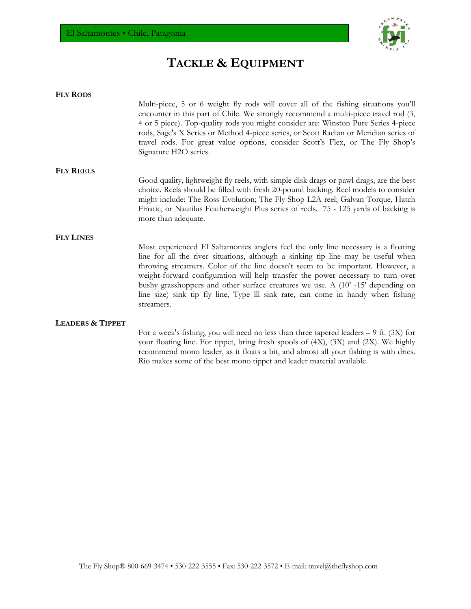

# **TACKLE & EQUIPMENT**

| <b>FLY RODS</b>             |                                                                                                                                                                                                                                                                                                                                                                                                                                                                                                                                   |
|-----------------------------|-----------------------------------------------------------------------------------------------------------------------------------------------------------------------------------------------------------------------------------------------------------------------------------------------------------------------------------------------------------------------------------------------------------------------------------------------------------------------------------------------------------------------------------|
|                             | Multi-piece, 5 or 6 weight fly rods will cover all of the fishing situations you'll<br>encounter in this part of Chile. We strongly recommend a multi-piece travel rod (3,<br>4 or 5 piece). Top-quality rods you might consider are: Winston Pure Series 4-piece<br>rods, Sage's X Series or Method 4-piece series, or Scott Radian or Meridian series of<br>travel rods. For great value options, consider Scott's Flex, or The Fly Shop's<br>Signature H2O series.                                                             |
| <b>FLY REELS</b>            |                                                                                                                                                                                                                                                                                                                                                                                                                                                                                                                                   |
|                             | Good quality, lightweight fly reels, with simple disk drags or pawl drags, are the best<br>choice. Reels should be filled with fresh 20-pound backing. Reel models to consider<br>might include: The Ross Evolution; The Fly Shop L2A reel; Galvan Torque, Hatch<br>Finatic, or Nautilus Featherweight Plus series of reels. 75 - 125 yards of backing is<br>more than adequate.                                                                                                                                                  |
| <b>FLY LINES</b>            |                                                                                                                                                                                                                                                                                                                                                                                                                                                                                                                                   |
|                             | Most experienced El Saltamontes anglers feel the only line necessary is a floating<br>line for all the river situations, although a sinking tip line may be useful when<br>throwing streamers. Color of the line doesn't seem to be important. However, a<br>weight-forward configuration will help transfer the power necessary to turn over<br>bushy grasshoppers and other surface creatures we use. A (10'-15' depending on<br>line size) sink tip fly line, Type III sink rate, can come in handy when fishing<br>streamers. |
| <b>LEADERS &amp; TIPPET</b> |                                                                                                                                                                                                                                                                                                                                                                                                                                                                                                                                   |
|                             | For a week's fishing, you will need no less than three tapered leaders $-9$ ft. (3X) for<br>your floating line. For tippet, bring fresh spools of (4X), (3X) and (2X). We highly<br>recommend mono leader, as it floats a bit, and almost all your fishing is with dries.<br>Rio makes some of the best mono tippet and leader material available.                                                                                                                                                                                |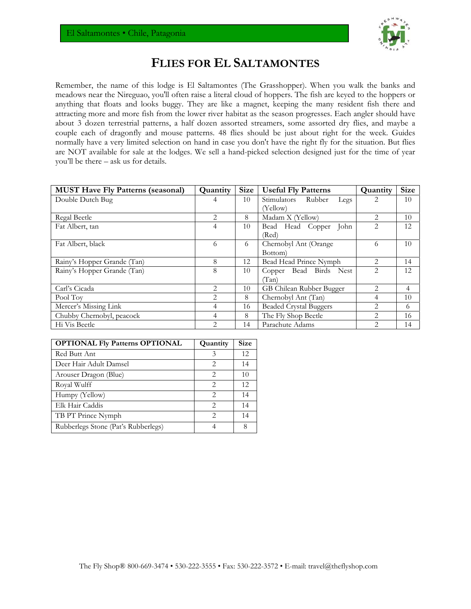

### **FLIES FOR EL SALTAMONTES**

Remember, the name of this lodge is El Saltamontes (The Grasshopper). When you walk the banks and meadows near the Nireguao, you'll often raise a literal cloud of hoppers. The fish are keyed to the hoppers or anything that floats and looks buggy. They are like a magnet, keeping the many resident fish there and attracting more and more fish from the lower river habitat as the season progresses. Each angler should have about 3 dozen terrestrial patterns, a half dozen assorted streamers, some assorted dry flies, and maybe a couple each of dragonfly and mouse patterns. 48 flies should be just about right for the week. Guides normally have a very limited selection on hand in case you don't have the right fly for the situation. But flies are NOT available for sale at the lodges. We sell a hand-picked selection designed just for the time of year you'll be there – ask us for details.

| <b>MUST Have Fly Patterns (seasonal)</b> | Quantity       | <b>Size</b> | <b>Useful Fly Patterns</b>    | Quantity                      | <b>Size</b> |
|------------------------------------------|----------------|-------------|-------------------------------|-------------------------------|-------------|
| Double Dutch Bug                         | 4              | 10          | Stimulators<br>Rubber<br>Legs |                               | 10          |
|                                          |                |             | (Yellow)                      |                               |             |
| Regal Beetle                             | $\mathfrak{D}$ | 8           | Madam X (Yellow)              | $\mathfrak{D}_{\mathfrak{p}}$ | 10          |
| Fat Albert, tan                          | 4              | 10          | Bead Head<br>John<br>Copper   | $\overline{2}$                | 12          |
|                                          |                |             | (Red)                         |                               |             |
| Fat Albert, black                        | 6              | 6           | Chernobyl Ant (Orange         | 6                             | 10          |
|                                          |                |             | Bottom                        |                               |             |
| Rainy's Hopper Grande (Tan)              | 8              | 12          | Bead Head Prince Nymph        | 2                             | 14          |
| Rainy's Hopper Grande (Tan)              | 8              | 10          | Copper Bead Birds Nest        | 2                             | 12          |
|                                          |                |             | (Tan)                         |                               |             |
| Carl's Cicada                            | $\overline{2}$ | 10          | GB Chilean Rubber Bugger      | 2                             | 4           |
| Pool Toy                                 | $\mathfrak{D}$ | 8           | Chernobyl Ant (Tan)           | 4                             | 10          |
| Mercer's Missing Link                    | 4              | 16          | <b>Beaded Crystal Buggers</b> | 2                             | 6           |
| Chubby Chernobyl, peacock                | 4              | 8           | The Fly Shop Beetle           | 2                             | 16          |
| Hi Vis Beetle                            | $\mathfrak{D}$ | 14          | Parachute Adams               | 2                             | 14          |

| <b>OPTIONAL Fly Patterns OPTIONAL</b> | Quantity                    | Size |
|---------------------------------------|-----------------------------|------|
| Red Butt Ant                          | 3                           | 12   |
| Deer Hair Adult Damsel                | 2                           | 14   |
| Arouser Dragon (Blue)                 | 2                           | 10   |
| Royal Wulff                           | $\mathcal{D}_{\mathcal{L}}$ | 12   |
| Humpy (Yellow)                        | 2                           | 14   |
| Elk Hair Caddis                       | $\mathcal{D}$               | 14   |
| TB PT Prince Nymph                    | 2                           | 14   |
| Rubberlegs Stone (Pat's Rubberlegs)   |                             |      |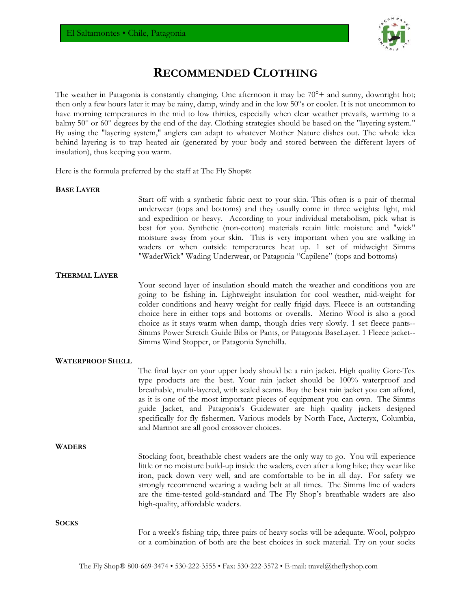

## **RECOMMENDED CLOTHING**

The weather in Patagonia is constantly changing. One afternoon it may be  $70^{\circ}$ + and sunny, downright hot; then only a few hours later it may be rainy, damp, windy and in the low 50°s or cooler. It is not uncommon to have morning temperatures in the mid to low thirties, especially when clear weather prevails, warming to a balmy 50° or 60° degrees by the end of the day. Clothing strategies should be based on the "layering system." By using the "layering system," anglers can adapt to whatever Mother Nature dishes out. The whole idea behind layering is to trap heated air (generated by your body and stored between the different layers of insulation), thus keeping you warm.

Here is the formula preferred by the staff at The Fly Shop®:

### **BASE LAYER**

Start off with a synthetic fabric next to your skin. This often is a pair of thermal underwear (tops and bottoms) and they usually come in three weights: light, mid and expedition or heavy. According to your individual metabolism, pick what is best for you. Synthetic (non-cotton) materials retain little moisture and "wick" moisture away from your skin. This is very important when you are walking in waders or when outside temperatures heat up. 1 set of midweight Simms "WaderWick" Wading Underwear, or Patagonia "Capilene" (tops and bottoms)

### **THERMAL LAYER**

Your second layer of insulation should match the weather and conditions you are going to be fishing in. Lightweight insulation for cool weather, mid-weight for colder conditions and heavy weight for really frigid days. Fleece is an outstanding choice here in either tops and bottoms or overalls. Merino Wool is also a good choice as it stays warm when damp, though dries very slowly. 1 set fleece pants-- Simms Power Stretch Guide Bibs or Pants, or Patagonia BaseLayer. 1 Fleece jacket-- Simms Wind Stopper, or Patagonia Synchilla.

### **WATERPROOF SHELL**

The final layer on your upper body should be a rain jacket. High quality Gore-Tex type products are the best. Your rain jacket should be 100% waterproof and breathable, multi-layered, with sealed seams. Buy the best rain jacket you can afford, as it is one of the most important pieces of equipment you can own. The Simms guide Jacket, and Patagonia's Guidewater are high quality jackets designed specifically for fly fishermen. Various models by North Face, Arcteryx, Columbia, and Marmot are all good crossover choices.

### **WADERS**

Stocking foot, breathable chest waders are the only way to go. You will experience little or no moisture build-up inside the waders, even after a long hike; they wear like iron, pack down very well, and are comfortable to be in all day. For safety we strongly recommend wearing a wading belt at all times. The Simms line of waders are the time-tested gold-standard and The Fly Shop's breathable waders are also high-quality, affordable waders.

**SOCKS**

For a week's fishing trip, three pairs of heavy socks will be adequate. Wool, polypro or a combination of both are the best choices in sock material. Try on your socks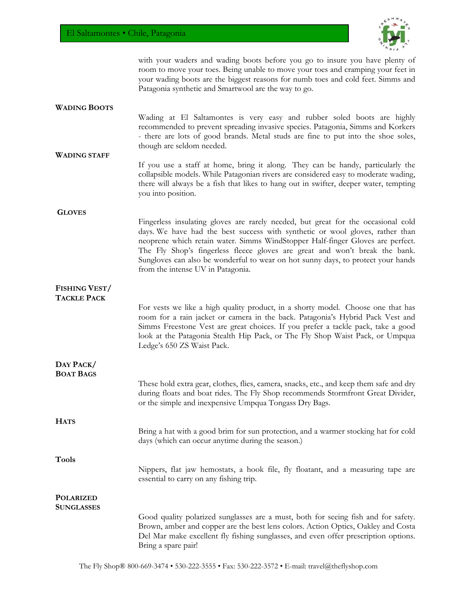

with your waders and wading boots before you go to insure you have plenty of room to move your toes. Being unable to move your toes and cramping your feet in your wading boots are the biggest reasons for numb toes and cold feet. Simms and Patagonia synthetic and Smartwool are the way to go.

### **WADING BOOTS**

**WADING STAFF**

Wading at El Saltamontes is very easy and rubber soled boots are highly recommended to prevent spreading invasive species. Patagonia, Simms and Korkers - there are lots of good brands. Metal studs are fine to put into the shoe soles, though are seldom needed.

If you use a staff at home, bring it along. They can be handy, particularly the collapsible models. While Patagonian rivers are considered easy to moderate wading, there will always be a fish that likes to hang out in swifter, deeper water, tempting you into position.

### **GLOVES**

Fingerless insulating gloves are rarely needed, but great for the occasional cold days. We have had the best success with synthetic or wool gloves, rather than neoprene which retain water. Simms WindStopper Half-finger Gloves are perfect. The Fly Shop's fingerless fleece gloves are great and won't break the bank. Sungloves can also be wonderful to wear on hot sunny days, to protect your hands from the intense UV in Patagonia.

#### **FISHING VEST/ TACKLE PACK**

For vests we like a high quality product, in a shorty model. Choose one that has room for a rain jacket or camera in the back. Patagonia's Hybrid Pack Vest and Simms Freestone Vest are great choices. If you prefer a tackle pack, take a good look at the Patagonia Stealth Hip Pack, or The Fly Shop Waist Pack, or Umpqua Ledge's 650 ZS Waist Pack.

#### **DAY PACK/ BOAT BAGS**

**HATS**

**Tools** 

These hold extra gear, clothes, flies, camera, snacks, etc., and keep them safe and dry during floats and boat rides. The Fly Shop recommends Stormfront Great Divider, or the simple and inexpensive Umpqua Tongass Dry Bags.

Bring a hat with a good brim for sun protection, and a warmer stocking hat for cold days (which can occur anytime during the season.)

Nippers, flat jaw hemostats, a hook file, fly floatant, and a measuring tape are essential to carry on any fishing trip.

#### **POLARIZED SUNGLASSES**

Good quality polarized sunglasses are a must, both for seeing fish and for safety. Brown, amber and copper are the best lens colors. Action Optics, Oakley and Costa Del Mar make excellent fly fishing sunglasses, and even offer prescription options. Bring a spare pair!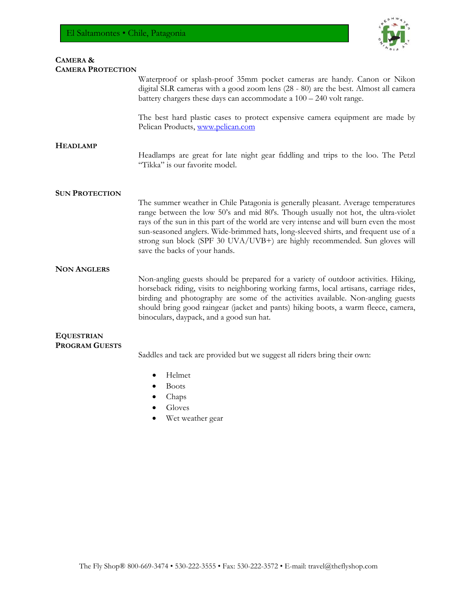

### **CAMERA & CAMERA PROTECTION** Waterproof or splash-proof 35mm pocket cameras are handy. Canon or Nikon digital SLR cameras with a good zoom lens (28 - 80) are the best. Almost all camera battery chargers these days can accommodate a 100 – 240 volt range. The best hard plastic cases to protect expensive camera equipment are made by Pelican Products, www.pelican.com **HEADLAMP** Headlamps are great for late night gear fiddling and trips to the loo. The Petzl "Tikka" is our favorite model. **SUN PROTECTION** The summer weather in Chile Patagonia is generally pleasant. Average temperatures range between the low 50's and mid 80's. Though usually not hot, the ultra-violet rays of the sun in this part of the world are very intense and will burn even the most sun-seasoned anglers. Wide-brimmed hats, long-sleeved shirts, and frequent use of a strong sun block (SPF 30 UVA/UVB+) are highly recommended. Sun gloves will save the backs of your hands. **NON ANGLERS** Non-angling guests should be prepared for a variety of outdoor activities. Hiking, horseback riding, visits to neighboring working farms, local artisans, carriage rides, birding and photography are some of the activities available. Non-angling guests should bring good raingear (jacket and pants) hiking boots, a warm fleece, camera, binoculars, daypack, and a good sun hat. **EQUESTRIAN PROGRAM GUESTS** Saddles and tack are provided but we suggest all riders bring their own: Helmet Boots Chaps

- Gloves
- Wet weather gear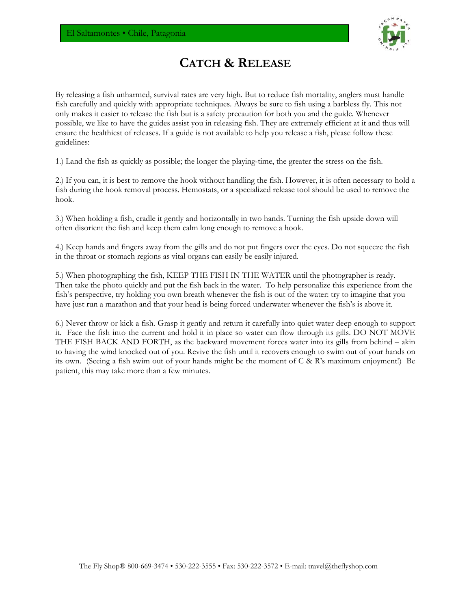

## **CATCH & RELEASE**

By releasing a fish unharmed, survival rates are very high. But to reduce fish mortality, anglers must handle fish carefully and quickly with appropriate techniques. Always be sure to fish using a barbless fly. This not only makes it easier to release the fish but is a safety precaution for both you and the guide. Whenever possible, we like to have the guides assist you in releasing fish. They are extremely efficient at it and thus will ensure the healthiest of releases. If a guide is not available to help you release a fish, please follow these guidelines:

1.) Land the fish as quickly as possible; the longer the playing-time, the greater the stress on the fish.

2.) If you can, it is best to remove the hook without handling the fish. However, it is often necessary to hold a fish during the hook removal process. Hemostats, or a specialized release tool should be used to remove the hook.

3.) When holding a fish, cradle it gently and horizontally in two hands. Turning the fish upside down will often disorient the fish and keep them calm long enough to remove a hook.

4.) Keep hands and fingers away from the gills and do not put fingers over the eyes. Do not squeeze the fish in the throat or stomach regions as vital organs can easily be easily injured.

5.) When photographing the fish, KEEP THE FISH IN THE WATER until the photographer is ready. Then take the photo quickly and put the fish back in the water. To help personalize this experience from the fish's perspective, try holding you own breath whenever the fish is out of the water: try to imagine that you have just run a marathon and that your head is being forced underwater whenever the fish's is above it.

6.) Never throw or kick a fish. Grasp it gently and return it carefully into quiet water deep enough to support it. Face the fish into the current and hold it in place so water can flow through its gills. DO NOT MOVE THE FISH BACK AND FORTH, as the backward movement forces water into its gills from behind – akin to having the wind knocked out of you. Revive the fish until it recovers enough to swim out of your hands on its own. (Seeing a fish swim out of your hands might be the moment of C & R's maximum enjoyment!) Be patient, this may take more than a few minutes.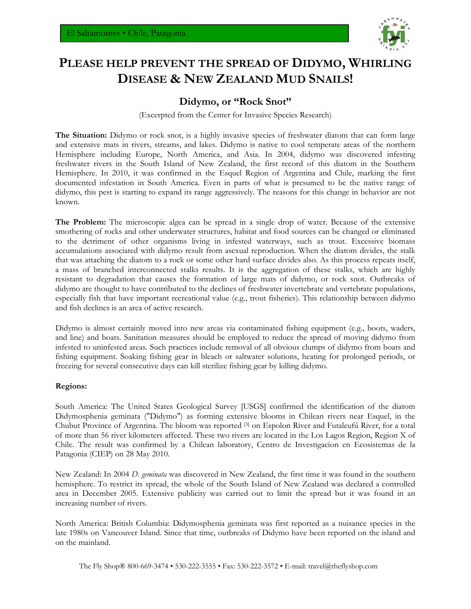

# **PLEASE HELP PREVENT THE SPREAD OF DIDYMO, WHIRLING DISEASE & NEW ZEALAND MUD SNAILS!**

### **Didymo, or "Rock Snot"**

(Excerpted from the Center for Invasive Species Research)

**The Situation:** Didymo or rock snot, is a highly invasive species of freshwater diatom that can form large and extensive mats in rivers, streams, and lakes. Didymo is native to cool temperate areas of the northern Hemisphere including Europe, North America, and Asia. In 2004, didymo was discovered infesting freshwater rivers in the South Island of New Zealand, the first record of this diatom in the Southern Hemisphere. In 2010, it was confirmed in the Esquel Region of Argentina and Chile, marking the first documented infestation in South America. Even in parts of what is presumed to be the native range of didymo, this pest is starting to expand its range aggressively. The reasons for this change in behavior are not known.

**The Problem:** The microscopic algea can be spread in a single drop of water. Because of the extensive smothering of rocks and other underwater structures, habitat and food sources can be changed or eliminated to the detriment of other organisms living in infested waterways, such as trout. Excessive biomass accumulations associated with didymo result from asexual reproduction. When the diatom divides, the stalk that was attaching the diatom to a rock or some other hard surface divides also. As this process repeats itself, a mass of branched interconnected stalks results. It is the aggregation of these stalks, which are highly resistant to degradation that causes the formation of large mats of didymo, or rock snot. Outbreaks of didymo are thought to have contributed to the declines of freshwater invertebrate and vertebrate populations, especially fish that have important recreational value (e.g., trout fisheries). This relationship between didymo and fish declines is an area of active research.

Didymo is almost certainly moved into new areas via contaminated fishing equipment (e.g., boots, waders, and line) and boats. Sanitation measures should be employed to reduce the spread of moving didymo from infested to uninfested areas. Such practices include removal of all obvious clumps of didymo from boats and fishing equipment. Soaking fishing gear in bleach or saltwater solutions, heating for prolonged periods, or freezing for several consecutive days can kill sterilize fishing gear by killing didymo.

### **Regions:**

South America: The United States Geological Survey [USGS] confirmed the identification of the diatom Didymosphenia geminata ("Didymo") as forming extensive blooms in Chilean rivers near Esquel, in the Chubut Province of Argentina. The bloom was reported [3] on Espolon River and Futaleufú River, for a total of more than 56 river kilometers affected. These two rivers are located in the Los Lagos Region, Region X of Chile. The result was confirmed by a Chilean laboratory, Centro de Investigacion en Ecosistemas de la Patagonia (CIEP) on 28 May 2010.

New Zealand: In 2004 *D. geminata* was discovered in New Zealand, the first time it was found in the southern hemisphere. To restrict its spread, the whole of the South Island of New Zealand was declared a controlled area in December 2005. Extensive publicity was carried out to limit the spread but it was found in an increasing number of rivers.

North America: British Columbia: Didymosphenia geminata was first reported as a nuisance species in the late 1980s on Vancouver Island. Since that time, outbreaks of Didymo have been reported on the island and on the mainland.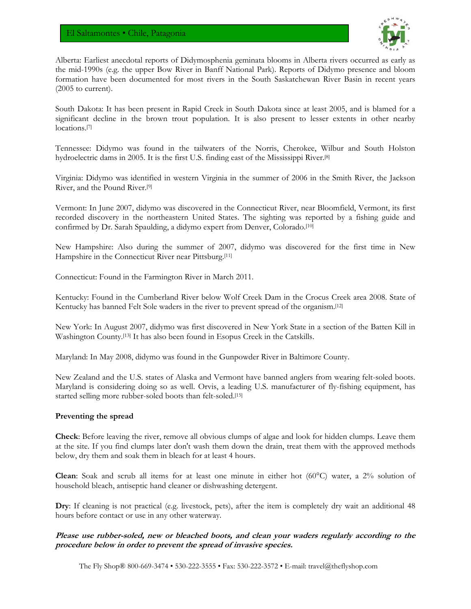

Alberta: Earliest anecdotal reports of Didymosphenia geminata blooms in Alberta rivers occurred as early as the mid-1990s (e.g. the upper Bow River in Banff National Park). Reports of Didymo presence and bloom formation have been documented for most rivers in the South Saskatchewan River Basin in recent years (2005 to current).

South Dakota: It has been present in Rapid Creek in South Dakota since at least 2005, and is blamed for a significant decline in the brown trout population. It is also present to lesser extents in other nearby locations.[7]

Tennessee: Didymo was found in the tailwaters of the Norris, Cherokee, Wilbur and South Holston hydroelectric dams in 2005. It is the first U.S. finding east of the Mississippi River.[8]

Virginia: Didymo was identified in western Virginia in the summer of 2006 in the Smith River, the Jackson River, and the Pound River.[9]

Vermont: In June 2007, didymo was discovered in the Connecticut River, near Bloomfield, Vermont, its first recorded discovery in the northeastern United States. The sighting was reported by a fishing guide and confirmed by Dr. Sarah Spaulding, a didymo expert from Denver, Colorado.<sup>[10]</sup>

New Hampshire: Also during the summer of 2007, didymo was discovered for the first time in New Hampshire in the Connecticut River near Pittsburg.[11]

Connecticut: Found in the Farmington River in March 2011.

Kentucky: Found in the Cumberland River below Wolf Creek Dam in the Crocus Creek area 2008. State of Kentucky has banned Felt Sole waders in the river to prevent spread of the organism.[12]

New York: In August 2007, didymo was first discovered in New York State in a section of the Batten Kill in Washington County.[13] It has also been found in Esopus Creek in the Catskills.

Maryland: In May 2008, didymo was found in the Gunpowder River in Baltimore County.

New Zealand and the U.S. states of Alaska and Vermont have banned anglers from wearing felt-soled boots. Maryland is considering doing so as well. Orvis, a leading U.S. manufacturer of fly-fishing equipment, has started selling more rubber-soled boots than felt-soled.[15]

### **Preventing the spread**

**Check**: Before leaving the river, remove all obvious clumps of algae and look for hidden clumps. Leave them at the site. If you find clumps later don't wash them down the drain, treat them with the approved methods below, dry them and soak them in bleach for at least 4 hours.

**Clean**: Soak and scrub all items for at least one minute in either hot (60°C) water, a 2% solution of household bleach, antiseptic hand cleaner or dishwashing detergent.

**Dry**: If cleaning is not practical (e.g. livestock, pets), after the item is completely dry wait an additional 48 hours before contact or use in any other waterway.

### **Please use rubber-soled, new or bleached boots, and clean your waders regularly according to the procedure below in order to prevent the spread of invasive species.**

The Fly Shop® 800-669-3474 • 530-222-3555 • Fax: 530-222-3572 • E-mail: travel@theflyshop.com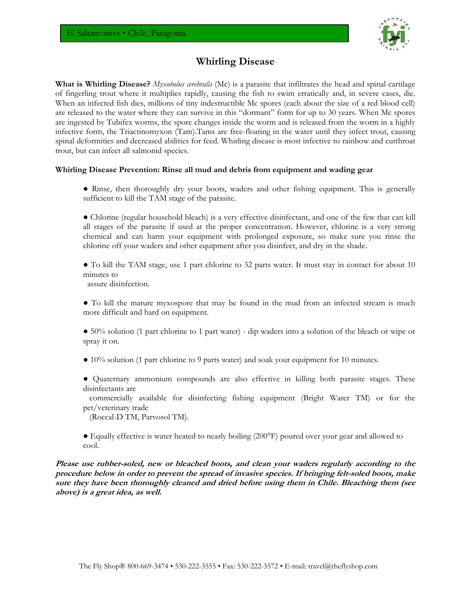

### **Whirling Disease**

**What is Whirling Disease?** *Myxobolus cerebralis* (Mc) is a parasite that infiltrates the head and spinal cartilage of fingerling trout where it multiplies rapidly, causing the fish to swim erratically and, in severe cases, die. When an infected fish dies, millions of tiny indestructible Mc spores (each about the size of a red blood cell) are released to the water where they can survive in this "dormant" form for up to 30 years. When Mc spores are ingested by Tubifex worms, the spore changes inside the worm and is released from the worm in a highly infective form, the Triactinomyxon (Tam).Tams are free-floating in the water until they infect trout, causing spinal deformities and decreased abilities for feed. Whirling disease is most infective to rainbow and cutthroat trout, but can infect all salmonid species.

### **Whirling Disease Prevention: Rinse all mud and debris from equipment and wading gear**

- Rinse, then thoroughly dry your boots, waders and other fishing equipment. This is generally sufficient to kill the TAM stage of the parasite.
- Chlorine (regular household bleach) is a very effective disinfectant, and one of the few that can kill all stages of the parasite if used at the proper concentration. However, chlorine is a very strong chemical and can harm your equipment with prolonged exposure, so make sure you rinse the chlorine off your waders and other equipment after you disinfect, and dry in the shade.
- To kill the TAM stage, use 1 part chlorine to 32 parts water. It must stay in contact for about 10 minutes to

assure disinfection.

- To kill the mature myxospore that may be found in the mud from an infected stream is much more difficult and hard on equipment.
- 50% solution (1 part chlorine to 1 part water) dip waders into a solution of the bleach or wipe or spray it on.
- 10% solution (1 part chlorine to 9 parts water) and soak your equipment for 10 minutes.
- Quaternary ammonium compounds are also effective in killing both parasite stages. These disinfectants are
- commercially available for disinfecting fishing equipment (Bright Water TM) or for the pet/veterinary trade

(Roccal-D TM, Parvosol TM).

● Equally effective is water heated to nearly boiling (200°F) poured over your gear and allowed to cool.

**Please use rubber-soled, new or bleached boots, and clean your waders regularly according to the procedure below in order to prevent the spread of invasive species. If bringing felt-soled boots, make sure they have been thoroughly cleaned and dried before using them in Chile. Bleaching them (see above) is a great idea, as well.**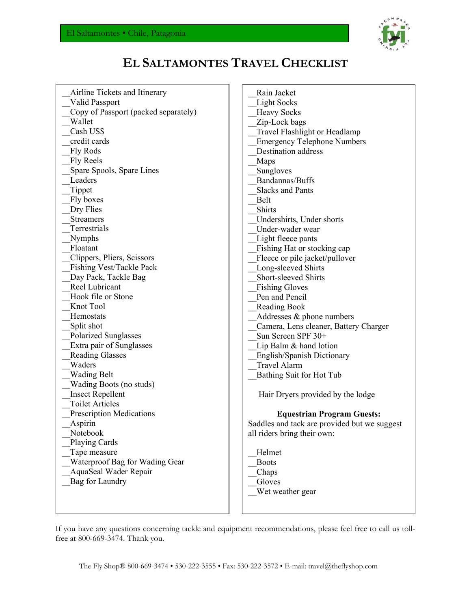

# **EL SALTAMONTES TRAVEL CHECKLIST**

| Airline Tickets and Itinerary<br>Valid Passport<br>Copy of Passport (packed separately)<br>Wallet<br>Cash US\$<br>credit cards<br>Fly Rods<br>Fly Reels<br>Spare Spools, Spare Lines<br>Leaders<br>Tippet<br>Fly boxes<br>Dry Flies<br><b>Streamers</b><br>Terrestrials<br>Nymphs<br>Floatant<br>Clippers, Pliers, Scissors<br>Fishing Vest/Tackle Pack<br>Day Pack, Tackle Bag<br>Reel Lubricant<br>Hook file or Stone<br>Knot Tool<br>Hemostats<br>Split shot<br><b>Polarized Sunglasses</b><br>Extra pair of Sunglasses<br><b>Reading Glasses</b><br>Waders<br><b>Wading Belt</b><br>Wading Boots (no studs)<br><b>Insect Repellent</b><br><b>Toilet Articles</b><br><b>Prescription Medications</b><br>Aspirin<br>Notebook<br>Playing Cards<br>Tape measure<br>Waterproof Bag for Wading Gear<br>AquaSeal Wader Repair | Rain Jacket<br><b>Light Socks</b><br><b>Heavy Socks</b><br>Zip-Lock bags<br>Travel Flashlight or Headlamp<br><b>Emergency Telephone Numbers</b><br><b>Destination address</b><br>Maps<br>Sungloves<br>Bandannas/Buffs<br><b>Slacks and Pants</b><br>Belt<br>Shirts<br>Undershirts, Under shorts<br>Under-wader wear<br>Light fleece pants<br>Fishing Hat or stocking cap<br>Fleece or pile jacket/pullover<br>Long-sleeved Shirts<br>Short-sleeved Shirts<br><b>Fishing Gloves</b><br>Pen and Pencil<br>Reading Book<br>Addresses & phone numbers<br>Camera, Lens cleaner, Battery Charger<br>Sun Screen SPF 30+<br>Lip Balm $&$ hand lotion<br>English/Spanish Dictionary<br><b>Travel Alarm</b><br>Bathing Suit for Hot Tub<br>Hair Dryers provided by the lodge<br><b>Equestrian Program Guests:</b><br>Saddles and tack are provided but we suggest<br>all riders bring their own:<br>Helmet<br><b>Boots</b><br>Chaps |
|----------------------------------------------------------------------------------------------------------------------------------------------------------------------------------------------------------------------------------------------------------------------------------------------------------------------------------------------------------------------------------------------------------------------------------------------------------------------------------------------------------------------------------------------------------------------------------------------------------------------------------------------------------------------------------------------------------------------------------------------------------------------------------------------------------------------------|---------------------------------------------------------------------------------------------------------------------------------------------------------------------------------------------------------------------------------------------------------------------------------------------------------------------------------------------------------------------------------------------------------------------------------------------------------------------------------------------------------------------------------------------------------------------------------------------------------------------------------------------------------------------------------------------------------------------------------------------------------------------------------------------------------------------------------------------------------------------------------------------------------------------------|
|                                                                                                                                                                                                                                                                                                                                                                                                                                                                                                                                                                                                                                                                                                                                                                                                                            |                                                                                                                                                                                                                                                                                                                                                                                                                                                                                                                                                                                                                                                                                                                                                                                                                                                                                                                           |
|                                                                                                                                                                                                                                                                                                                                                                                                                                                                                                                                                                                                                                                                                                                                                                                                                            |                                                                                                                                                                                                                                                                                                                                                                                                                                                                                                                                                                                                                                                                                                                                                                                                                                                                                                                           |
| Bag for Laundry                                                                                                                                                                                                                                                                                                                                                                                                                                                                                                                                                                                                                                                                                                                                                                                                            | Gloves                                                                                                                                                                                                                                                                                                                                                                                                                                                                                                                                                                                                                                                                                                                                                                                                                                                                                                                    |
|                                                                                                                                                                                                                                                                                                                                                                                                                                                                                                                                                                                                                                                                                                                                                                                                                            | Wet weather gear                                                                                                                                                                                                                                                                                                                                                                                                                                                                                                                                                                                                                                                                                                                                                                                                                                                                                                          |
|                                                                                                                                                                                                                                                                                                                                                                                                                                                                                                                                                                                                                                                                                                                                                                                                                            |                                                                                                                                                                                                                                                                                                                                                                                                                                                                                                                                                                                                                                                                                                                                                                                                                                                                                                                           |

If you have any questions concerning tackle and equipment recommendations, please feel free to call us tollfree at 800-669-3474. Thank you.